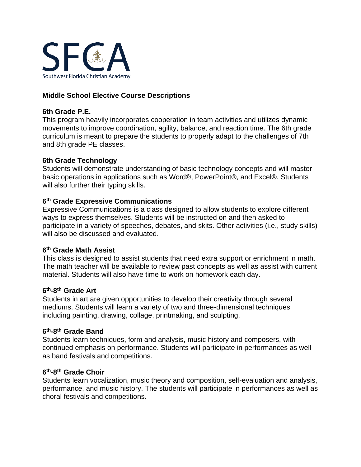

# **Middle School Elective Course Descriptions**

# **6th Grade P.E.**

This program heavily incorporates cooperation in team activities and utilizes dynamic movements to improve coordination, agility, balance, and reaction time. The 6th grade curriculum is meant to prepare the students to properly adapt to the challenges of 7th and 8th grade PE classes.

# **6th Grade Technology**

Students will demonstrate understanding of basic technology concepts and will master basic operations in applications such as Word®, PowerPoint®, and Excel®. Students will also further their typing skills.

# **6 th Grade Expressive Communications**

Expressive Communications is a class designed to allow students to explore different ways to express themselves. Students will be instructed on and then asked to participate in a variety of speeches, debates, and skits. Other activities (i.e., study skills) will also be discussed and evaluated.

# **6 th Grade Math Assist**

This class is designed to assist students that need extra support or enrichment in math. The math teacher will be available to review past concepts as well as assist with current material. Students will also have time to work on homework each day.

# **6 th-8 th Grade Art**

Students in art are given opportunities to develop their creativity through several mediums. Students will learn a variety of two and three-dimensional techniques including painting, drawing, collage, printmaking, and sculpting.

# **6 th-8 th Grade Band**

Students learn techniques, form and analysis, music history and composers, with continued emphasis on performance. Students will participate in performances as well as band festivals and competitions.

# **6 th-8 th Grade Choir**

Students learn vocalization, music theory and composition, self-evaluation and analysis, performance, and music history. The students will participate in performances as well as choral festivals and competitions.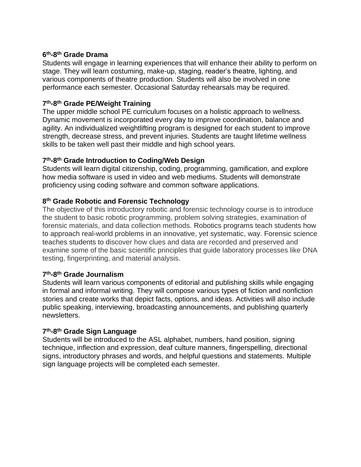#### **6 th-8 th Grade Drama**

Students will engage in learning experiences that will enhance their ability to perform on stage. They will learn costuming, make-up, staging, reader's theatre, lighting, and various components of theatre production. Students will also be involved in one performance each semester. Occasional Saturday rehearsals may be required.

# **7 th-8 th Grade PE/Weight Training**

The upper middle school PE curriculum focuses on a holistic approach to wellness. Dynamic movement is incorporated every day to improve coordination, balance and agility. An individualized weightlifting program is designed for each student to improve strength, decrease stress, and prevent injuries. Students are taught lifetime wellness skills to be taken well past their middle and high school years.

# **7 th-8 th Grade Introduction to Coding/Web Design**

Students will learn digital citizenship, coding, programming, gamification, and explore how media software is used in video and web mediums. Students will demonstrate proficiency using coding software and common software applications.

# **8 th Grade Robotic and Forensic Technology**

The objective of this introductory robotic and forensic technology course is to introduce the student to basic robotic programming, problem solving strategies, examination of forensic materials, and data collection methods. Robotics programs teach students how to approach real-world problems in an innovative, yet systematic, way. Forensic science teaches students to discover how clues and data are recorded and preserved and examine some of the basic scientific principles that guide laboratory processes like DNA testing, fingerprinting, and material analysis.

# **7 th-8 th Grade Journalism**

Students will learn various components of editorial and publishing skills while engaging in formal and informal writing. They will compose various types of fiction and nonfiction stories and create works that depict facts, options, and ideas. Activities will also include public speaking, interviewing, broadcasting announcements, and publishing quarterly newsletters.

# **7 th-8 th Grade Sign Language**

Students will be introduced to the ASL alphabet, numbers, hand position, signing technique, inflection and expression, deaf culture manners, fingerspelling, directional signs, introductory phrases and words, and helpful questions and statements. Multiple sign language projects will be completed each semester.